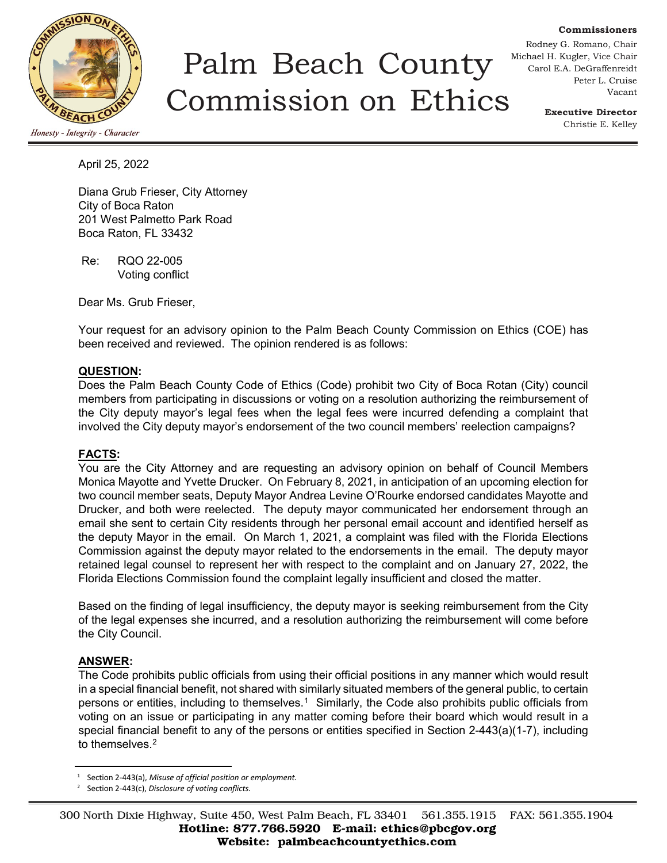

# Palm Beach County Commission on Ethics

Rodney G. Romano, Chair Michael H. Kugler, Vice Chair Carol E.A. DeGraffenreidt Peter L. Cruise Vacant

> **Executive Director** Christie E. Kelley

**Commissioners**

April 25, 2022

Diana Grub Frieser, City Attorney City of Boca Raton 201 West Palmetto Park Road Boca Raton, FL 33432

Re: RQO 22-005 Voting conflict

Dear Ms. Grub Frieser,

Your request for an advisory opinion to the Palm Beach County Commission on Ethics (COE) has been received and reviewed. The opinion rendered is as follows:

#### **QUESTION:**

Does the Palm Beach County Code of Ethics (Code) prohibit two City of Boca Rotan (City) council members from participating in discussions or voting on a resolution authorizing the reimbursement of the City deputy mayor's legal fees when the legal fees were incurred defending a complaint that involved the City deputy mayor's endorsement of the two council members' reelection campaigns?

#### **FACTS:**

You are the City Attorney and are requesting an advisory opinion on behalf of Council Members Monica Mayotte and Yvette Drucker. On February 8, 2021, in anticipation of an upcoming election for two council member seats, Deputy Mayor Andrea Levine O'Rourke endorsed candidates Mayotte and Drucker, and both were reelected. The deputy mayor communicated her endorsement through an email she sent to certain City residents through her personal email account and identified herself as the deputy Mayor in the email. On March 1, 2021, a complaint was filed with the Florida Elections Commission against the deputy mayor related to the endorsements in the email. The deputy mayor retained legal counsel to represent her with respect to the complaint and on January 27, 2022, the Florida Elections Commission found the complaint legally insufficient and closed the matter.

Based on the finding of legal insufficiency, the deputy mayor is seeking reimbursement from the City of the legal expenses she incurred, and a resolution authorizing the reimbursement will come before the City Council.

### **ANSWER:**

The Code prohibits public officials from using their official positions in any manner which would result in a special financial benefit, not shared with similarly situated members of the general public, to certain persons or entities, including to themselves.[1](#page-0-0) Similarly, the Code also prohibits public officials from voting on an issue or participating in any matter coming before their board which would result in a special financial benefit to any of the persons or entities specified in Section 2-443(a)(1-7), including to themselves.<sup>[2](#page-0-1)</sup>

<sup>1</sup> Section 2-443(a), *Misuse of official position or employment.*

<span id="page-0-1"></span><span id="page-0-0"></span><sup>2</sup> Section 2-443(c), *Disclosure of voting conflicts.*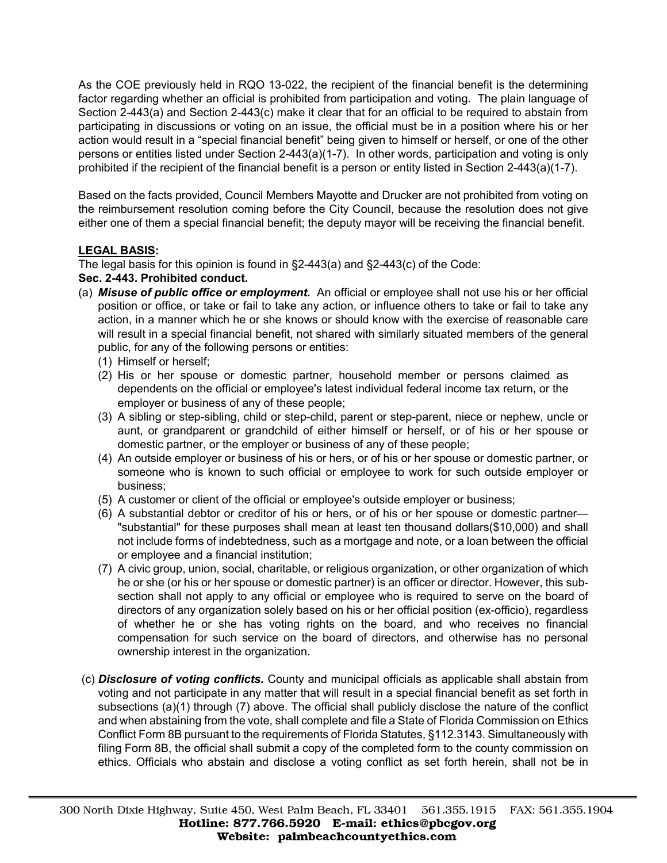As the COE previously held in RQO 13-022, the recipient of the financial benefit is the determining factor regarding whether an official is prohibited from participation and voting. The plain language of Section 2-443(a) and Section 2-443(c) make it clear that for an official to be required to abstain from participating in discussions or voting on an issue, the official must be in a position where his or her action would result in a "special financial benefit" being given to himself or herself, or one of the other persons or entities listed under Section 2-443(a)(1-7). In other words, participation and voting is only prohibited if the recipient of the financial benefit is a person or entity listed in Section 2-443(a)(1-7).

Based on the facts provided, Council Members Mayotte and Drucker are not prohibited from voting on the reimbursement resolution coming before the City Council, because the resolution does not give either one of them a special financial benefit; the deputy mayor will be receiving the financial benefit.

## **LEGAL BASIS:**

The legal basis for this opinion is found in §2-443(a) and §2-443(c) of the Code:

## **Sec. 2-443. Prohibited conduct.**

- (a) *Misuse of public office or employment.* An official or employee shall not use his or her official position or office, or take or fail to take any action, or influence others to take or fail to take any action, in a manner which he or she knows or should know with the exercise of reasonable care will result in a special financial benefit, not shared with similarly situated members of the general public, for any of the following persons or entities:
	- (1) Himself or herself;
	- (2) His or her spouse or domestic partner, household member or persons claimed as dependents on the official or employee's latest individual federal income tax return, or the employer or business of any of these people;
	- (3) A sibling or step-sibling, child or step-child, parent or step-parent, niece or nephew, uncle or aunt, or grandparent or grandchild of either himself or herself, or of his or her spouse or domestic partner, or the employer or business of any of these people;
	- (4) An outside employer or business of his or hers, or of his or her spouse or domestic partner, or someone who is known to such official or employee to work for such outside employer or business;
	- (5) A customer or client of the official or employee's outside employer or business;
	- (6) A substantial debtor or creditor of his or hers, or of his or her spouse or domestic partner— "substantial" for these purposes shall mean at least ten thousand dollars(\$10,000) and shall not include forms of indebtedness, such as a mortgage and note, or a loan between the official or employee and a financial institution;
	- (7) A civic group, union, social, charitable, or religious organization, or other organization of which he or she (or his or her spouse or domestic partner) is an officer or director. However, this subsection shall not apply to any official or employee who is required to serve on the board of directors of any organization solely based on his or her official position (ex-officio), regardless of whether he or she has voting rights on the board, and who receives no financial compensation for such service on the board of directors, and otherwise has no personal ownership interest in the organization.
- (c) *Disclosure of voting conflicts.* County and municipal officials as applicable shall abstain from voting and not participate in any matter that will result in a special financial benefit as set forth in subsections (a)(1) through (7) above. The official shall publicly disclose the nature of the conflict and when abstaining from the vote, shall complete and file a State of Florida Commission on Ethics Conflict Form 8B pursuant to the requirements of Florida Statutes, §112.3143. Simultaneously with filing Form 8B, the official shall submit a copy of the completed form to the county commission on ethics. Officials who abstain and disclose a voting conflict as set forth herein, shall not be in